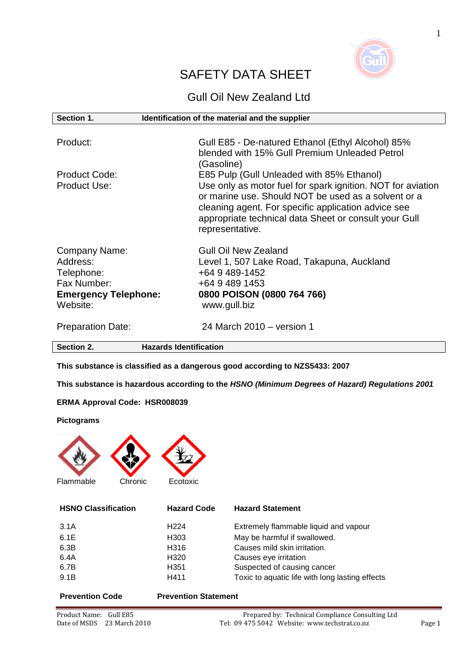

# SAFETY DATA SHEET

# Gull Oil New Zealand Ltd

| Section 1.                                                                                               | Identification of the material and the supplier                                                                                                                                                                                                                                                    |
|----------------------------------------------------------------------------------------------------------|----------------------------------------------------------------------------------------------------------------------------------------------------------------------------------------------------------------------------------------------------------------------------------------------------|
| Product:                                                                                                 | Gull E85 - De-natured Ethanol (Ethyl Alcohol) 85%<br>blended with 15% Gull Premium Unleaded Petrol<br>(Gasoline)                                                                                                                                                                                   |
| <b>Product Code:</b><br><b>Product Use:</b>                                                              | E85 Pulp (Gull Unleaded with 85% Ethanol)<br>Use only as motor fuel for spark ignition. NOT for aviation<br>or marine use. Should NOT be used as a solvent or a<br>cleaning agent. For specific application advice see<br>appropriate technical data Sheet or consult your Gull<br>representative. |
| <b>Company Name:</b><br>Address:<br>Telephone:<br>Fax Number:<br><b>Emergency Telephone:</b><br>Website: | <b>Gull Oil New Zealand</b><br>Level 1, 507 Lake Road, Takapuna, Auckland<br>+64 9 489-1452<br>+64 9 489 1453<br>0800 POISON (0800 764 766)<br>www.gull.biz                                                                                                                                        |
| <b>Preparation Date:</b>                                                                                 | 24 March 2010 – version 1                                                                                                                                                                                                                                                                          |
| Section 2.                                                                                               | <b>Hazards Identification</b>                                                                                                                                                                                                                                                                      |

**This substance is classified as a dangerous good according to NZS5433: 2007** 

**This substance is hazardous according to the HSNO (Minimum Degrees of Hazard) Regulations 2001**

#### **ERMA Approval Code: HSR008039**

#### **Pictograms**



**HSNO Classification Hazard Code Hazard Statement**

| 3.1A | H <sub>224</sub> | Extremely flammable liquid and vapour           |
|------|------------------|-------------------------------------------------|
| 6.1E | H <sub>303</sub> | May be harmful if swallowed.                    |
| 6.3B | H316             | Causes mild skin irritation.                    |
| 6.4A | H <sub>320</sub> | Causes eye irritation                           |
| 6.7B | H <sub>351</sub> | Suspected of causing cancer                     |
| 9.1B | H411             | Toxic to aquatic life with long lasting effects |
|      |                  |                                                 |

#### **Prevention Code Prevention Statement**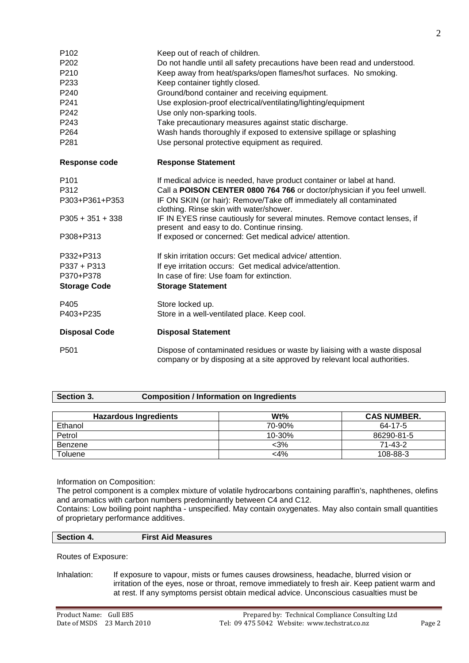| P102                 | Keep out of reach of children.                                                                                                                           |
|----------------------|----------------------------------------------------------------------------------------------------------------------------------------------------------|
| P202                 | Do not handle until all safety precautions have been read and understood.                                                                                |
| P210                 | Keep away from heat/sparks/open flames/hot surfaces. No smoking.                                                                                         |
| P233                 | Keep container tightly closed.                                                                                                                           |
| P240                 | Ground/bond container and receiving equipment.                                                                                                           |
| P <sub>241</sub>     | Use explosion-proof electrical/ventilating/lighting/equipment                                                                                            |
| P <sub>242</sub>     | Use only non-sparking tools.                                                                                                                             |
| P243                 | Take precautionary measures against static discharge.                                                                                                    |
| P264                 | Wash hands thoroughly if exposed to extensive spillage or splashing                                                                                      |
| P281                 | Use personal protective equipment as required.                                                                                                           |
| <b>Response code</b> | <b>Response Statement</b>                                                                                                                                |
| P <sub>101</sub>     | If medical advice is needed, have product container or label at hand.                                                                                    |
| P312                 | Call a POISON CENTER 0800 764 766 or doctor/physician if you feel unwell.                                                                                |
| P303+P361+P353       | IF ON SKIN (or hair): Remove/Take off immediately all contaminated<br>clothing. Rinse skin with water/shower.                                            |
| $P305 + 351 + 338$   | IF IN EYES rinse cautiously for several minutes. Remove contact lenses, if<br>present and easy to do. Continue rinsing.                                  |
| P308+P313            | If exposed or concerned: Get medical advice/ attention.                                                                                                  |
| P332+P313            | If skin irritation occurs: Get medical advice/attention.                                                                                                 |
| P337 + P313          | If eye irritation occurs: Get medical advice/attention.                                                                                                  |
| P370+P378            | In case of fire: Use foam for extinction.                                                                                                                |
| <b>Storage Code</b>  | <b>Storage Statement</b>                                                                                                                                 |
| P405                 | Store locked up.                                                                                                                                         |
| P403+P235            | Store in a well-ventilated place. Keep cool.                                                                                                             |
| <b>Disposal Code</b> | <b>Disposal Statement</b>                                                                                                                                |
| P <sub>501</sub>     | Dispose of contaminated residues or waste by liaising with a waste disposal<br>company or by disposing at a site approved by relevant local authorities. |

| Section 3. | <b>Composition / Information on Ingredients</b> |
|------------|-------------------------------------------------|
|------------|-------------------------------------------------|

| <b>Hazardous Ingredients</b> | $Wt\%$     | <b>CAS NUMBER.</b> |
|------------------------------|------------|--------------------|
| Ethanol                      | 70-90%     | 64-17-5            |
| Petrol                       | $10 - 30%$ | 86290-81-5         |
| Benzene                      | $<$ 3%     | 71-43-2            |
| Toluene                      | <4%        | 108-88-3           |

Information on Composition:

The petrol component is a complex mixture of volatile hydrocarbons containing paraffin's, naphthenes, olefins and aromatics with carbon numbers predominantly between C4 and C12.

Contains: Low boiling point naphtha - unspecified. May contain oxygenates. May also contain small quantities of proprietary performance additives.

| Section 4. | <b>First Aid Measures</b> |
|------------|---------------------------|
|            |                           |

Routes of Exposure:

Inhalation: If exposure to vapour, mists or fumes causes drowsiness, headache, blurred vision or irritation of the eyes, nose or throat, remove immediately to fresh air. Keep patient warm and at rest. If any symptoms persist obtain medical advice. Unconscious casualties must be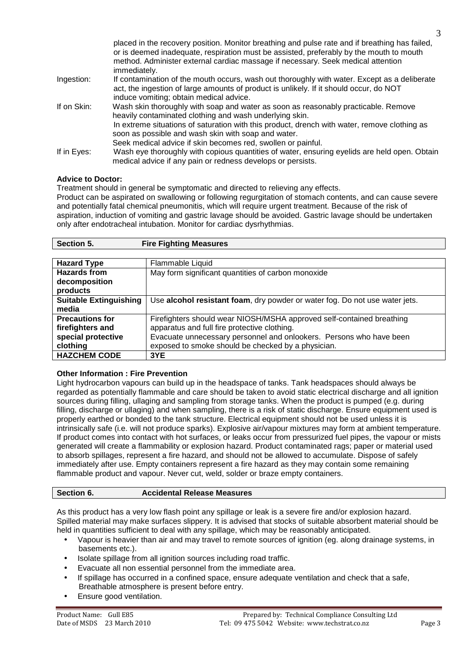|             | placed in the recovery position. Monitor breathing and pulse rate and if breathing has failed,<br>or is deemed inadequate, respiration must be assisted, preferably by the mouth to mouth<br>method. Administer external cardiac massage if necessary. Seek medical attention<br>immediately.                                                                        |
|-------------|----------------------------------------------------------------------------------------------------------------------------------------------------------------------------------------------------------------------------------------------------------------------------------------------------------------------------------------------------------------------|
| Ingestion:  | If contamination of the mouth occurs, wash out thoroughly with water. Except as a deliberate<br>act, the ingestion of large amounts of product is unlikely. If it should occur, do NOT<br>induce vomiting; obtain medical advice.                                                                                                                                    |
| If on Skin: | Wash skin thoroughly with soap and water as soon as reasonably practicable. Remove<br>heavily contaminated clothing and wash underlying skin.<br>In extreme situations of saturation with this product, drench with water, remove clothing as<br>soon as possible and wash skin with soap and water.<br>Seek medical advice if skin becomes red, swollen or painful. |
| If in Eyes: | Wash eye thoroughly with copious quantities of water, ensuring eyelids are held open. Obtain<br>medical advice if any pain or redness develops or persists.                                                                                                                                                                                                          |

#### **Advice to Doctor:**

Treatment should in general be symptomatic and directed to relieving any effects.

Product can be aspirated on swallowing or following regurgitation of stomach contents, and can cause severe and potentially fatal chemical pneumonitis, which will require urgent treatment. Because of the risk of aspiration, induction of vomiting and gastric lavage should be avoided. Gastric lavage should be undertaken only after endotracheal intubation. Monitor for cardiac dysrhythmias.

| Section 5. | <b>Fire Fighting Measures</b> |
|------------|-------------------------------|
|            |                               |

| <b>Hazard Type</b>            | Flammable Liquid                                                            |  |
|-------------------------------|-----------------------------------------------------------------------------|--|
| <b>Hazards from</b>           | May form significant quantities of carbon monoxide                          |  |
| decomposition                 |                                                                             |  |
| products                      |                                                                             |  |
| <b>Suitable Extinguishing</b> | Use alcohol resistant foam, dry powder or water fog. Do not use water jets. |  |
| media                         |                                                                             |  |
| <b>Precautions for</b>        | Firefighters should wear NIOSH/MSHA approved self-contained breathing       |  |
| firefighters and              | apparatus and full fire protective clothing.                                |  |
| special protective            | Evacuate unnecessary personnel and onlookers. Persons who have been         |  |
| clothing                      | exposed to smoke should be checked by a physician.                          |  |
| <b>HAZCHEM CODE</b>           | 3YE                                                                         |  |

### **Other Information : Fire Prevention**

Light hydrocarbon vapours can build up in the headspace of tanks. Tank headspaces should always be regarded as potentially flammable and care should be taken to avoid static electrical discharge and all ignition sources during filling, ullaging and sampling from storage tanks. When the product is pumped (e.g. during filling, discharge or ullaging) and when sampling, there is a risk of static discharge. Ensure equipment used is properly earthed or bonded to the tank structure. Electrical equipment should not be used unless it is intrinsically safe (i.e. will not produce sparks). Explosive air/vapour mixtures may form at ambient temperature. If product comes into contact with hot surfaces, or leaks occur from pressurized fuel pipes, the vapour or mists generated will create a flammability or explosion hazard. Product contaminated rags; paper or material used to absorb spillages, represent a fire hazard, and should not be allowed to accumulate. Dispose of safely immediately after use. Empty containers represent a fire hazard as they may contain some remaining flammable product and vapour. Never cut, weld, solder or braze empty containers.

#### **Section 6. Accidental Release Measures**

As this product has a very low flash point any spillage or leak is a severe fire and/or explosion hazard. Spilled material may make surfaces slippery. It is advised that stocks of suitable absorbent material should be held in quantities sufficient to deal with any spillage, which may be reasonably anticipated.

- Vapour is heavier than air and may travel to remote sources of ignition (eg. along drainage systems, in basements etc.).
- Isolate spillage from all ignition sources including road traffic.
- Evacuate all non essential personnel from the immediate area.
- If spillage has occurred in a confined space, ensure adequate ventilation and check that a safe, Breathable atmosphere is present before entry.
- Ensure good ventilation.

3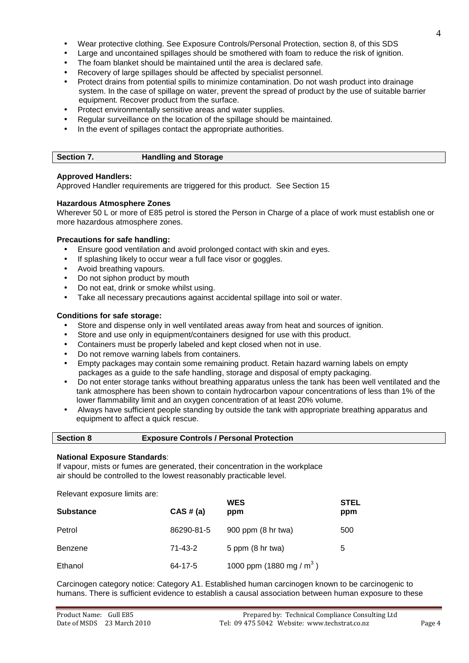Carcinogen category notice: Category A1. Established human carcinogen known to be carcinogenic to humans. There is sufficient evidence to establish a causal association between human exposure to these

#### • Wear protective clothing. See Exposure Controls/Personal Protection, section 8, of this SDS

- Large and uncontained spillages should be smothered with foam to reduce the risk of ignition.
- The foam blanket should be maintained until the area is declared safe.
- Recovery of large spillages should be affected by specialist personnel.
- Protect drains from potential spills to minimize contamination. Do not wash product into drainage system. In the case of spillage on water, prevent the spread of product by the use of suitable barrier equipment. Recover product from the surface.
- Protect environmentally sensitive areas and water supplies.
- Regular surveillance on the location of the spillage should be maintained.
- In the event of spillages contact the appropriate authorities.

#### **Approved Handlers:**

Approved Handler requirements are triggered for this product. See Section 15

#### **Hazardous Atmosphere Zones**

Wherever 50 L or more of E85 petrol is stored the Person in Charge of a place of work must establish one or more hazardous atmosphere zones.

#### **Precautions for safe handling:**

- Ensure good ventilation and avoid prolonged contact with skin and eyes.
- If splashing likely to occur wear a full face visor or goggles.
- Avoid breathing vapours.
- Do not siphon product by mouth
- Do not eat, drink or smoke whilst using.
- Take all necessary precautions against accidental spillage into soil or water.

#### **Conditions for safe storage:**

- Store and dispense only in well ventilated areas away from heat and sources of ignition.
- Store and use only in equipment/containers designed for use with this product.
- Containers must be properly labeled and kept closed when not in use.
- Do not remove warning labels from containers.
- Empty packages may contain some remaining product. Retain hazard warning labels on empty packages as a guide to the safe handling, storage and disposal of empty packaging.
- Do not enter storage tanks without breathing apparatus unless the tank has been well ventilated and the tank atmosphere has been shown to contain hydrocarbon vapour concentrations of less than 1% of the lower flammability limit and an oxygen concentration of at least 20% volume.
- Always have sufficient people standing by outside the tank with appropriate breathing apparatus and equipment to affect a quick rescue.

| <b>Section 8</b> | <b>Exposure Controls / Personal Protection</b> |
|------------------|------------------------------------------------|
|                  |                                                |

#### **National Exposure Standards**:

If vapour, mists or fumes are generated, their concentration in the workplace air should be controlled to the lowest reasonably practicable level.

**WES STEL** STEL Substance **CAS # (a)** ppm **ppm** ppm

Petrol 86290-81-5 900 ppm (8 hr twa) 500

Benzene 71-43-2 5 ppm (8 hr twa) 5

Relevant exposure limits are: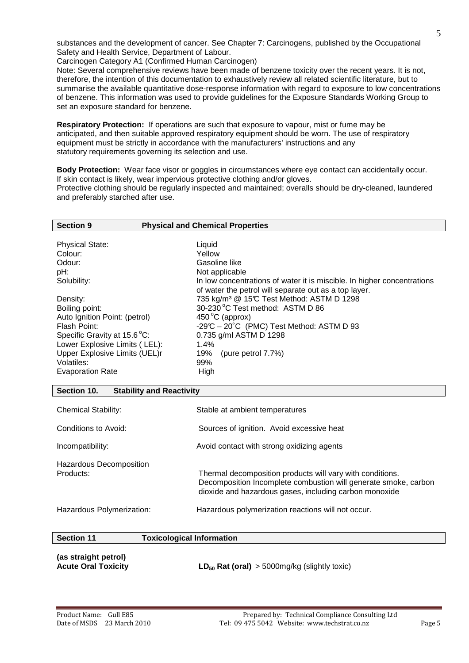substances and the development of cancer. See Chapter 7: Carcinogens, published by the Occupational Safety and Health Service, Department of Labour.

Carcinogen Category A1 (Confirmed Human Carcinogen)

Note: Several comprehensive reviews have been made of benzene toxicity over the recent years. It is not, therefore, the intention of this documentation to exhaustively review all related scientific literature, but to summarise the available quantitative dose-response information with regard to exposure to low concentrations of benzene. This information was used to provide guidelines for the Exposure Standards Working Group to set an exposure standard for benzene.

**Respiratory Protection:** If operations are such that exposure to vapour, mist or fume may be anticipated, and then suitable approved respiratory equipment should be worn. The use of respiratory equipment must be strictly in accordance with the manufacturers' instructions and any statutory requirements governing its selection and use.

**Body Protection:** Wear face visor or goggles in circumstances where eye contact can accidentally occur. If skin contact is likely, wear impervious protective clothing and/or gloves. Protective clothing should be regularly inspected and maintained; overalls should be dry-cleaned, laundered and preferably starched after use.

| <b>Section 9</b>              | <b>Physical and Chemical Properties</b>                                 |
|-------------------------------|-------------------------------------------------------------------------|
|                               |                                                                         |
| <b>Physical State:</b>        | Liquid                                                                  |
| Colour:                       | Yellow                                                                  |
| Odour:                        | Gasoline like                                                           |
| pH:                           | Not applicable                                                          |
| Solubility:                   | In low concentrations of water it is miscible. In higher concentrations |
|                               | of water the petrol will separate out as a top layer.                   |
| Density:                      | 735 kg/m <sup>3</sup> @ 15°C Test Method: ASTM D 1298                   |
| Boiling point:                | 30-230 °C Test method: ASTM D 86                                        |
| Auto Ignition Point: (petrol) | 450 $\mathrm{^{\circ}C}$ (approx)                                       |
| Flash Point:                  | $-29^{\circ}C - 20^{\circ}C$ (PMC) Test Method: ASTM D 93               |
| Specific Gravity at 15.6 °C:  | 0.735 g/ml ASTM D 1298                                                  |
| Lower Explosive Limits (LEL): | 1.4%                                                                    |
| Upper Explosive Limits (UEL)r | 19%<br>(pure petrol $7.7\%$ )                                           |
| Volatiles:                    | 99%                                                                     |
| <b>Evaporation Rate</b>       | High                                                                    |
|                               |                                                                         |
| Section 10.                   | <b>Stability and Reactivity</b>                                         |
|                               |                                                                         |

| <b>Chemical Stability:</b>           | Stable at ambient temperatures                                                                                                                                                         |
|--------------------------------------|----------------------------------------------------------------------------------------------------------------------------------------------------------------------------------------|
| Conditions to Avoid:                 | Sources of ignition. Avoid excessive heat                                                                                                                                              |
| Incompatibility:                     | Avoid contact with strong oxidizing agents                                                                                                                                             |
| Hazardous Decomposition<br>Products: | Thermal decomposition products will vary with conditions.<br>Decomposition Incomplete combustion will generate smoke, carbon<br>dioxide and hazardous gases, including carbon monoxide |
| Hazardous Polymerization:            | Hazardous polymerization reactions will not occur.                                                                                                                                     |

| <b>Section 11</b>                                  | <b>Toxicological Information</b>                  |
|----------------------------------------------------|---------------------------------------------------|
| (as straight petrol)<br><b>Acute Oral Toxicity</b> | $LD_{50}$ Rat (oral) > 5000mg/kg (slightly toxic) |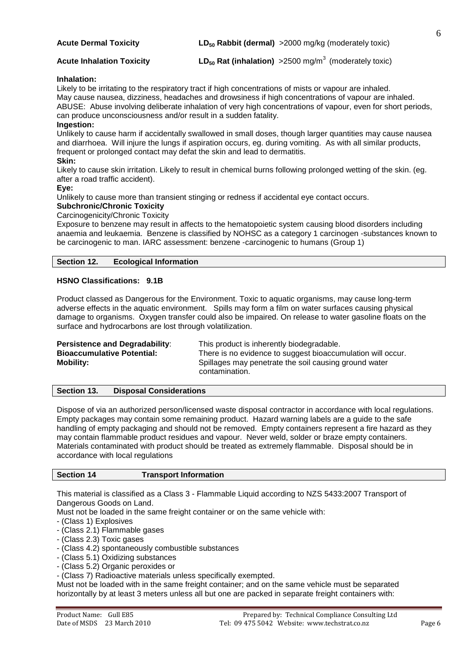| <b>Acute Dermal Toxicity</b> | $LD_{50}$ Rabbit (dermal) > 2000 mg/kg (moderately toxic) |
|------------------------------|-----------------------------------------------------------|
|                              |                                                           |

**Acute Inhalation Toxicity LD<sub>50</sub> Rat (inhalation) > 2500 mg/m<sup>3</sup> (moderately toxic)** 

#### **Inhalation:**

Likely to be irritating to the respiratory tract if high concentrations of mists or vapour are inhaled. May cause nausea, dizziness, headaches and drowsiness if high concentrations of vapour are inhaled. ABUSE: Abuse involving deliberate inhalation of very high concentrations of vapour, even for short periods, can produce unconsciousness and/or result in a sudden fatality.

#### **Ingestion:**

Unlikely to cause harm if accidentally swallowed in small doses, though larger quantities may cause nausea and diarrhoea. Will injure the lungs if aspiration occurs, eg. during vomiting. As with all similar products, frequent or prolonged contact may defat the skin and lead to dermatitis.

#### **Skin:**

Likely to cause skin irritation. Likely to result in chemical burns following prolonged wetting of the skin. (eg. after a road traffic accident).

#### **Eye:**

Unlikely to cause more than transient stinging or redness if accidental eye contact occurs.

## **Subchronic/Chronic Toxicity**

Carcinogenicity/Chronic Toxicity

Exposure to benzene may result in affects to the hematopoietic system causing blood disorders including anaemia and leukaemia. Benzene is classified by NOHSC as a category 1 carcinogen -substances known to be carcinogenic to man. IARC assessment: benzene -carcinogenic to humans (Group 1)

#### **Section 12. Ecological Information**

#### **HSNO Classifications: 9.1B**

Product classed as Dangerous for the Environment. Toxic to aquatic organisms, may cause long-term adverse effects in the aquatic environment. Spills may form a film on water surfaces causing physical damage to organisms. Oxygen transfer could also be impaired. On release to water gasoline floats on the surface and hydrocarbons are lost through volatilization.

| Persistence and Degradability:    | This product is inherently biodegradable.                   |
|-----------------------------------|-------------------------------------------------------------|
| <b>Bioaccumulative Potential:</b> | There is no evidence to suggest bioaccumulation will occur. |
| <b>Mobility:</b>                  | Spillages may penetrate the soil causing ground water       |
|                                   | contamination.                                              |

#### **Section 13. Disposal Considerations**

Dispose of via an authorized person/licensed waste disposal contractor in accordance with local regulations. Empty packages may contain some remaining product. Hazard warning labels are a guide to the safe handling of empty packaging and should not be removed. Empty containers represent a fire hazard as they may contain flammable product residues and vapour. Never weld, solder or braze empty containers. Materials contaminated with product should be treated as extremely flammable. Disposal should be in accordance with local regulations

#### **Section 14 Transport Information**

This material is classified as a Class 3 - Flammable Liquid according to NZS 5433:2007 Transport of Dangerous Goods on Land.

Must not be loaded in the same freight container or on the same vehicle with:

- (Class 1) Explosives
- (Class 2.1) Flammable gases
- (Class 2.3) Toxic gases
- (Class 4.2) spontaneously combustible substances
- (Class 5.1) Oxidizing substances
- (Class 5.2) Organic peroxides or
- (Class 7) Radioactive materials unless specifically exempted.

Must not be loaded with in the same freight container; and on the same vehicle must be separated horizontally by at least 3 meters unless all but one are packed in separate freight containers with:

6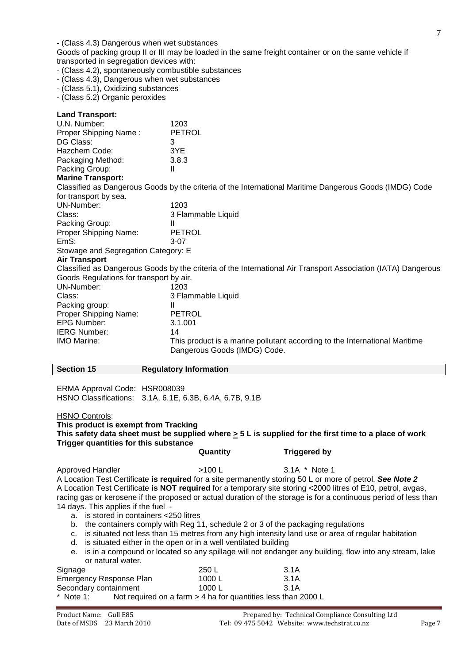- (Class 4.3) Dangerous when wet substances

Goods of packing group II or III may be loaded in the same freight container or on the same vehicle if transported in segregation devices with:

- (Class 4.2), spontaneously combustible substances
- (Class 4.3), Dangerous when wet substances
- (Class 5.1), Oxidizing substances
- (Class 5.2) Organic peroxides

| <b>Land Transport:</b>                  |                                                                                                               |
|-----------------------------------------|---------------------------------------------------------------------------------------------------------------|
| U.N. Number:                            | 1203                                                                                                          |
| Proper Shipping Name:                   | <b>PETROL</b>                                                                                                 |
| DG Class:                               | 3                                                                                                             |
| Hazchem Code:                           | 3YE                                                                                                           |
| Packaging Method:                       | 3.8.3                                                                                                         |
| Packing Group:                          | $\mathbf{  }$                                                                                                 |
| <b>Marine Transport:</b>                |                                                                                                               |
|                                         | Classified as Dangerous Goods by the criteria of the International Maritime Dangerous Goods (IMDG) Code       |
| for transport by sea.                   |                                                                                                               |
| UN-Number:                              | 1203                                                                                                          |
| Class:                                  | 3 Flammable Liquid                                                                                            |
| Packing Group:                          | $\mathbf{H}$                                                                                                  |
| Proper Shipping Name:                   | <b>PETROL</b>                                                                                                 |
| EmS:                                    | $3-07$                                                                                                        |
| Stowage and Segregation Category: E     |                                                                                                               |
| <b>Air Transport</b>                    |                                                                                                               |
|                                         | Classified as Dangerous Goods by the criteria of the International Air Transport Association (IATA) Dangerous |
| Goods Regulations for transport by air. |                                                                                                               |
| UN-Number:                              | 1203                                                                                                          |
| Class:                                  | 3 Flammable Liquid                                                                                            |
| Packing group:                          | Ш                                                                                                             |
| Proper Shipping Name:                   | <b>PETROL</b>                                                                                                 |
| <b>EPG Number:</b>                      | 3.1.001                                                                                                       |
| <b>IERG Number:</b>                     | 14                                                                                                            |
| <b>IMO Marine:</b>                      | This product is a marine pollutant according to the International Maritime                                    |
|                                         | Dangerous Goods (IMDG) Code.                                                                                  |
|                                         |                                                                                                               |

| <b>Section 15</b>                                                                                                                                                                                                    | <b>Regulatory Information</b>                                                                                                                                |                                                                                                                                                                                                                                                                                                                                                                                                                                                                                                                                                                                |  |
|----------------------------------------------------------------------------------------------------------------------------------------------------------------------------------------------------------------------|--------------------------------------------------------------------------------------------------------------------------------------------------------------|--------------------------------------------------------------------------------------------------------------------------------------------------------------------------------------------------------------------------------------------------------------------------------------------------------------------------------------------------------------------------------------------------------------------------------------------------------------------------------------------------------------------------------------------------------------------------------|--|
| ERMA Approval Code: HSR008039                                                                                                                                                                                        | HSNO Classifications: 3.1A, 6.1E, 6.3B, 6.4A, 6.7B, 9.1B                                                                                                     |                                                                                                                                                                                                                                                                                                                                                                                                                                                                                                                                                                                |  |
| <b>HSNO Controls:</b><br>This product is exempt from Tracking<br>This safety data sheet must be supplied where $\geq$ 5 L is supplied for the first time to a place of work<br>Trigger quantities for this substance |                                                                                                                                                              |                                                                                                                                                                                                                                                                                                                                                                                                                                                                                                                                                                                |  |
|                                                                                                                                                                                                                      | Quantity                                                                                                                                                     | <b>Triggered by</b>                                                                                                                                                                                                                                                                                                                                                                                                                                                                                                                                                            |  |
| Approved Handler<br>14 days. This applies if the fuel -<br>a. is stored in containers <250 litres<br>b.<br>C.<br>d.<br>е.<br>or natural water.                                                                       | >100 L<br>the containers comply with Reg 11, schedule 2 or 3 of the packaging regulations<br>is situated either in the open or in a well ventilated building | 3.1A * Note 1<br>A Location Test Certificate is required for a site permanently storing 50 L or more of petrol. See Note 2<br>A Location Test Certificate is NOT required for a temporary site storing <2000 litres of E10, petrol, avgas,<br>racing gas or kerosene if the proposed or actual duration of the storage is for a continuous period of less than<br>is situated not less than 15 metres from any high intensity land use or area of regular habitation<br>is in a compound or located so any spillage will not endanger any building, flow into any stream, lake |  |
| Signage                                                                                                                                                                                                              | 250 L                                                                                                                                                        | 3.1A                                                                                                                                                                                                                                                                                                                                                                                                                                                                                                                                                                           |  |
| Emergency Response Plan                                                                                                                                                                                              | 1000L                                                                                                                                                        | 3.1A                                                                                                                                                                                                                                                                                                                                                                                                                                                                                                                                                                           |  |
| Secondary containment                                                                                                                                                                                                | 1000L                                                                                                                                                        | 3.1A                                                                                                                                                                                                                                                                                                                                                                                                                                                                                                                                                                           |  |

Note 1: Not required on a farm  $\geq$  4 ha for quantities less than 2000 L